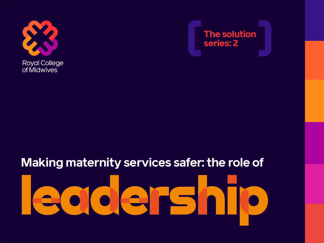

**The solution series: 2**

# **Making maternity services safer: the role of**

# AO O CH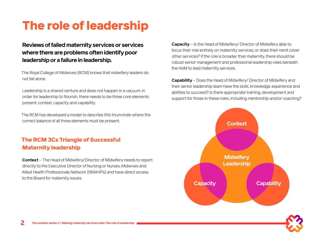# The role of leadership

#### **Reviews of failed maternity services or services where there are problems often identify poor leadership or a failure in leadership.**

The Royal College of Midwives (RCM) knows that midwifery leaders do not fail alone.

Leadership is a shared venture and does not happen in a vacuum. In order for leadership to flourish, there needs to be three core elements present: context, capacity and capability.

The RCM has developed a model to describe this triumvirate where the correct balance of all three elements must be present.

#### The RCM 3Cs Triangle of Successful Maternity leadership

**Context** – The Head of Midwifery/Director of Midwifery needs to report directly to the Executive Director of Nursing or Nurses, Midwives and Allied Health Professionals Network (NMAHPs) and have direct access to the Board for maternity issues.

**Capacity** – Is the Head of Midwifery/ Director of Midwifery able to focus their role entirely on maternity services, or does their remit cover other services? If the role is broader than maternity, there should be robust senior management and professional leadership roles beneath the HoM to lead maternity services.

**Capability** – Does the Head of Midwifery/ Director of Midwifery and their senior leadership team have the skills, knowledge, experience and abilities to succeed? Is there appropriate training, development and support for those in these roles, including mentorship and/or coaching?



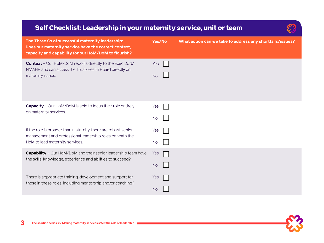| The Three Cs of successful maternity leadership:<br>Does our maternity service have the correct context,<br>capacity and capability for our HoM/DoM to flourish? | Yes/No                  | What action can we take to address any shortfalls/issues? |
|------------------------------------------------------------------------------------------------------------------------------------------------------------------|-------------------------|-----------------------------------------------------------|
| <b>Context</b> - Our HoM/DoM reports directly to the Exec DoN/<br>NMAHP and can access the Trust/Health Board directly on<br>maternity issues.                   | <b>Yes</b><br><b>No</b> |                                                           |
| <b>Capacity</b> - Our HoM/DoM is able to focus their role entirely<br>on maternity services.                                                                     | Yes<br><b>No</b>        |                                                           |
| If the role is broader than maternity, there are robust senior<br>management and professional leadership roles beneath the<br>HoM to lead maternity services.    | Yes<br><b>No</b>        |                                                           |
| <b>Capability</b> - Our HoM/DoM and their senior leadership team have<br>the skills, knowledge, experience and abilities to succeed?                             | Yes<br><b>No</b>        |                                                           |
| There is appropriate training, development and support for<br>those in these roles, including mentorship and/or coaching?                                        | Yes<br><b>No</b>        |                                                           |

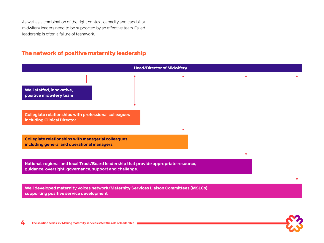As well as a combination of the right context, capacity and capability, midwifery leaders need to be supported by an effective team. Failed leadership is often a failure of teamwork.

#### The network of positive maternity leadership



**supporting positive service development**

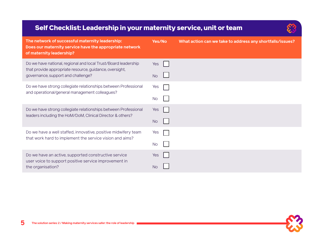| The network of successful maternity leadership:<br>Does our maternity service have the appropriate network<br>of maternity leadership? | Yes/No    | What action can we take to address any shortfalls/issues? |
|----------------------------------------------------------------------------------------------------------------------------------------|-----------|-----------------------------------------------------------|
| Do we have national, regional and local Trust/Board leadership<br>that provide appropriate resource, guidance, oversight,              | Yes       |                                                           |
| governance, support and challenge?                                                                                                     | <b>No</b> |                                                           |
| Do we have strong collegiate relationships between Professional<br>and operational/general management colleagues?                      | Yes       |                                                           |
|                                                                                                                                        | <b>No</b> |                                                           |
| Do we have strong collegiate relationships between Professional<br>leaders including the HoM/DoM, Clinical Director & others?          | Yes       |                                                           |
|                                                                                                                                        | <b>No</b> |                                                           |
| Do we have a well staffed, innovative, positive midwifery team<br>that work hard to implement the service vision and aims?             | Yes       |                                                           |
|                                                                                                                                        | No.       |                                                           |
| Do we have an active, supported constructive service<br>user voice to support positive service improvement in                          | Yes       |                                                           |
| the organisation?                                                                                                                      |           |                                                           |

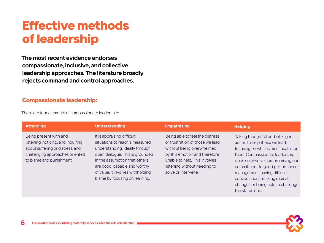## Effective methods of leadership

**The most recent evidence endorses compassionate, inclusive, and collective leadership approaches. The literature broadly rejects command and control approaches.** 

#### Compassionate leadership:

There are four elements of compassionate leadership:

| <b>Attending</b>                                                                                                                                                | <b>Understanding</b>                                                                                                                                                                                                                                                      | <b>Empathising</b>                                                                                                                                                                                                       | <b>Helping</b>                                                                                                                                                                                                                                                                                                                               |
|-----------------------------------------------------------------------------------------------------------------------------------------------------------------|---------------------------------------------------------------------------------------------------------------------------------------------------------------------------------------------------------------------------------------------------------------------------|--------------------------------------------------------------------------------------------------------------------------------------------------------------------------------------------------------------------------|----------------------------------------------------------------------------------------------------------------------------------------------------------------------------------------------------------------------------------------------------------------------------------------------------------------------------------------------|
| Being present with and<br>listening, noticing, and inquiring<br>about suffering or distress, and<br>challenging approaches oriented<br>to blame and punishment. | It is appraising difficult<br>situations to reach a measured<br>understanding, ideally through<br>open dialogue. This is grounded<br>in the assumption that others<br>are good, capable and worthy<br>of value. It involves withholding<br>blame by focusing on learning. | Being able to feel the distress<br>or frustration of those we lead<br>without being overwhelmed<br>by this emotion and therefore<br>unable to help. This involves<br>listening without needing to<br>solve or intervene. | Taking thoughtful and intelligent<br>action to help those we lead,<br>focusing on what is most useful for<br>them. Compassionate leadership<br>does not involve compromising our<br>commitment to good performance<br>management, having difficult<br>conversations, making radical<br>changes or being able to challenge<br>the status quo. |

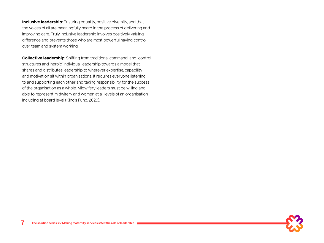**Inclusive leadership**: Ensuring equality, positive diversity, and that the voices of all are meaningfully heard in the process of delivering and improving care. Truly inclusive leadership involves positively valuing difference and prevents those who are most powerful having control over team and system working.

**Collective leadership**: Shifting from traditional command-and-control structures and 'heroic' individual leadership towards a model that shares and distributes leadership to wherever expertise, capability and motivation sit within organisations. It requires everyone listening to and supporting each other and taking responsibility for the success of the organisation as a whole. Midwifery leaders must be willing and able to represent midwifery and women at all levels of an organisation including at board level (King's Fund, 2020).

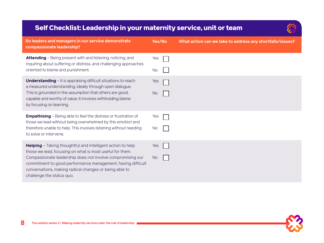| Do leaders and managers in our service demonstrate<br>compassionate leadership?                                                                                                                                                                                                                                                                   | Yes/No           | What action can we take to address any shortfalls/issues? |
|---------------------------------------------------------------------------------------------------------------------------------------------------------------------------------------------------------------------------------------------------------------------------------------------------------------------------------------------------|------------------|-----------------------------------------------------------|
| <b>Attending</b> - Being present with and listening, noticing, and<br>inquiring about suffering or distress, and challenging approaches<br>oriented to blame and punishment.                                                                                                                                                                      | Yes<br><b>No</b> |                                                           |
| <b>Understanding</b> - It is appraising difficult situations to reach<br>a measured understanding, ideally through open dialogue.<br>This is grounded in the assumption that others are good,<br>capable and worthy of value. It involves withholding blame<br>by focusing on learning.                                                           | Yes<br>No.       |                                                           |
| <b>Empathising</b> - Being able to feel the distress or frustration of<br>those we lead without being overwhelmed by this emotion and<br>therefore unable to help. This involves listening without needing<br>to solve or intervene.                                                                                                              | Yes<br>No.       |                                                           |
| <b>Helping</b> - Taking thoughtful and intelligent action to help<br>those we lead, focusing on what is most useful for them.<br>Compassionate leadership does not involve compromising our<br>commitment to good performance management, having difficult<br>conversations, making radical changes or being able to<br>challenge the status quo. | Yes<br>No.       |                                                           |

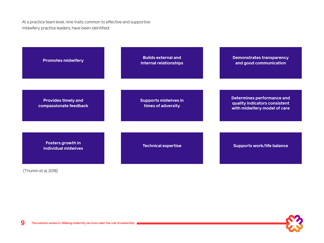At a practice team level, nine traits common to effective and supportive midwifery practice leaders, have been identified:

| <b>Promotes midwifery</b>                            | <b>Builds external and</b><br>internal relationships | <b>Demonstrates transparency</b><br>and good communication                                         |
|------------------------------------------------------|------------------------------------------------------|----------------------------------------------------------------------------------------------------|
| <b>Provides timely and</b><br>compassionate feedback | <b>Supports midwives in</b><br>times of adversity    | <b>Determines performance and</b><br>quality indicators consistent<br>with midwifery model of care |
| <b>Fosters growth in</b><br>individual midwives      | <b>Technical expertise</b>                           | <b>Supports work/life balance</b>                                                                  |

(Thumm et al, 2018)



**9** The solution series: 2 / Making maternity services safer: the role of leadership |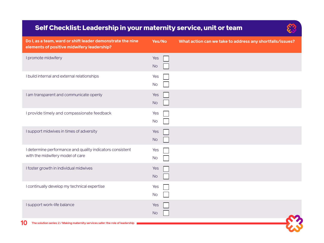| Do I, as a team, ward or shift leader demonstrate the nine<br>elements of positive midwifery leadership? | Yes/No                | What action can we take to address any shortfalls/issues? |
|----------------------------------------------------------------------------------------------------------|-----------------------|-----------------------------------------------------------|
| I promote midwifery                                                                                      | Yes<br>N <sub>O</sub> |                                                           |
| I build internal and external relationships                                                              | Yes<br><b>No</b>      |                                                           |
| I am transparent and communicate openly                                                                  | Yes<br><b>No</b>      |                                                           |
| I provide timely and compassionate feedback                                                              | Yes<br><b>No</b>      |                                                           |
| I support midwives in times of adversity                                                                 | Yes<br><b>No</b>      |                                                           |
| I determine performance and quality indicators consistent<br>with the midwifery model of care            | Yes<br><b>No</b>      |                                                           |
| I foster growth in individual midwives                                                                   | Yes<br><b>No</b>      |                                                           |
| I continually develop my technical expertise                                                             | Yes<br><b>No</b>      |                                                           |
| I support work-life balance                                                                              | Yes<br><b>No</b>      |                                                           |
| 10<br>The solution series: 2 / Making maternity services safer: the role of leadership                   |                       |                                                           |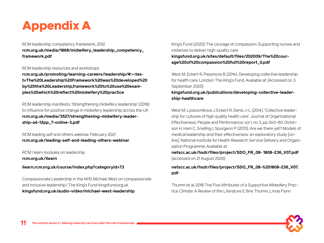# Appendix A

RCM leadership competency framework, 2012 **[rcm.org.uk/media/1868/midwifery\\_leadership\\_competency\\_](http://rcm.org.uk/media/1868/midwifery_leadership_competency_framework.pdf) [framework.pdf](http://rcm.org.uk/media/1868/midwifery_leadership_competency_framework.pdf)**

RCM leadership resources and workshops

**[rcm.org.uk/promoting/learning-careers/leadership/#:~:tex](http://rcm.org.uk/promoting/learning-careers/leadership/#:~:text=The%20Leadership%20Framework%20was%20developed%20by%20the%20Leadership,framework%20to%20use%20examples%20which%20reflect%20midwifery%20practice)[t=The%20Leadership%20Framework%20was%20developed%20](http://rcm.org.uk/promoting/learning-careers/leadership/#:~:text=The%20Leadership%20Framework%20was%20developed%20by%20the%20Leadership,framework%20to%20use%20examples%20which%20reflect%20midwifery%20practice) [by%20the%20Leadership,framework%20to%20use%20exam](http://rcm.org.uk/promoting/learning-careers/leadership/#:~:text=The%20Leadership%20Framework%20was%20developed%20by%20the%20Leadership,framework%20to%20use%20examples%20which%20reflect%20midwifery%20practice)[ples%20which%20reflect%20midwifery%20practice](http://rcm.org.uk/promoting/learning-careers/leadership/#:~:text=The%20Leadership%20Framework%20was%20developed%20by%20the%20Leadership,framework%20to%20use%20examples%20which%20reflect%20midwifery%20practice)**

RCM leadership manifesto, 'Strengthening midwifery leadership' (2019) to influence for positive change in midwifery leadership across the UK **[rcm.org.uk/media/3527/strengthening-midwifery-leader](http://rcm.org.uk/media/3527/strengthening-midwifery-leadership-a4-12pp_7-online-3.pdf)[ship-a4-12pp\\_7-online-3.pdf](http://rcm.org.uk/media/3527/strengthening-midwifery-leadership-a4-12pp_7-online-3.pdf)**

RCM leading self and others webinar, February 2021 **[rcm.org.uk/leading-self-and-leading-others-webinar](http://rcm.org.uk/leading-self-and-leading-others-webinar)**

RCM I learn modules on leadership **[rcm.org.uk/ilearn](http://rcm.org.uk/ilearn)**

**[ilearn.rcm.org.uk/course/index.php?categoryid=73](http://ilearn.rcm.org.uk/course/index.php?categoryid=73)**

Compassionate Leadership in the NHS Michael West on compassionate and inclusive leadership | The King's Fund kingsfund.org.uk **[kingsfund.org.uk/audio-video/michael-west-leadership](http://kingsfund.org.uk/audio-video/michael-west-leadership)**

King's Fund (2020) The courage of compassion: Supporting nurses and midwives to deliver high-quality care **[kingsfund.org.uk/sites/default/files/202009/The%20cour](http://kingsfund.org.uk/sites/default/files/202009/The%20courage%20of%20compassion%20full%20report_0.pdf)[age%20of%20compassion%20full%20report\\_0.pdf](http://kingsfund.org.uk/sites/default/files/202009/The%20courage%20of%20compassion%20full%20report_0.pdf)**

West M, Eckert R, Passmore B (2014). Developing collective leadership for health care. London: The King's Fund. Available at: (Accessed on 3 September 2020)

**[kingsfund.org.uk/publications/developing-collective-leader](http://kingsfund.org.uk/publications/developing-collective-leadership-healthcare)[ship-healthcare](http://kingsfund.org.uk/publications/developing-collective-leadership-healthcare)**

West M, Lyubovnikova J, Eckert R, Denis J-L (2014). 'Collective leadership for cultures of high quality health care'. Journal of Organizational Effectiveness: People and Performance, vol 1, no 3, pp 240–60; Dickinson H, Ham C, Snelling I, Spurgeon P (2013). Are we there yet? Models of medical leadership and their effectiveness: an exploratory study [online]. National Institute for Health Research Service Delivery and Organisation Programme. Available at:

**[netscc.ac.uk/hsdr/files/project/SDO\\_FR\\_08- 1808-236\\_V07.pdf](http://netscc.ac.uk/hsdr/files/project/SDO_FR_08- 1808-236_V07.pdf)** (accessed on 21 August 2020)

**[netscc.ac.uk/hsdr/files/project/SDO\\_FR\\_08-%201808-236\\_V07.](http://netscc.ac.uk/hsdr/files/project/SDO_FR_08-%201808-236_V07.pdf) [pdf](http://netscc.ac.uk/hsdr/files/project/SDO_FR_08-%201808-236_V07.pdf)**

Thumm et al, 2018 The Five Attributes of a Supportive Midwifery Practice Climate: A Review of the Literature E Brie Thumm, Linda Flynn